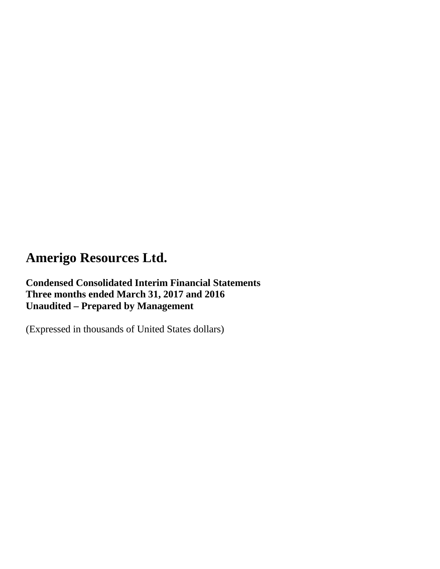**Condensed Consolidated Interim Financial Statements Three months ended March 31, 2017 and 2016 Unaudited – Prepared by Management**

(Expressed in thousands of United States dollars)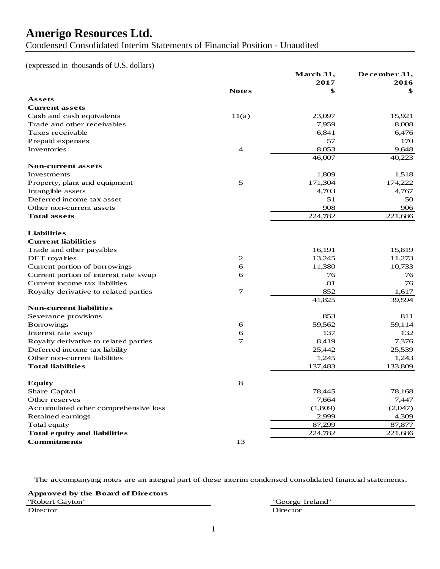Condensed Consolidated Interim Statements of Financial Position - Unaudited

(expressed in thousands of U.S. dollars)

|                                       |                | March 31, | December 31, |
|---------------------------------------|----------------|-----------|--------------|
|                                       |                | 2017      | 2016         |
|                                       | <b>Notes</b>   | \$        | \$           |
| Assets                                |                |           |              |
| <b>Current assets</b>                 |                |           |              |
| Cash and cash equivalents             | 11(a)          | 23,097    | 15,921       |
| Trade and other receivables           |                | 7,959     | 8,008        |
| Taxes receivable                      |                | 6,841     | 6,476        |
| Prepaid expenses                      |                | 57        | 170          |
| Inventories                           | $\overline{4}$ | 8,053     | 9,648        |
|                                       |                | 46,007    | 40,223       |
| <b>Non-current assets</b>             |                |           |              |
| Investments                           |                | 1,809     | 1,518        |
| Property, plant and equipment         | 5              | 171,304   | 174,222      |
| Intangible assets                     |                | 4,703     | 4,767        |
| Deferred income tax asset             |                | 51        | 50           |
| Other non-current assets              |                | 908       | 906          |
| <b>Total assets</b>                   |                | 224,782   | 221,686      |
| <b>Liabilities</b>                    |                |           |              |
| <b>Current liabilities</b>            |                |           |              |
| Trade and other payables              |                | 16,191    | 15,819       |
| DET royalties                         | 2              | 13,245    | 11,273       |
| Current portion of borrowings         | 6              | 11,380    | 10,733       |
| Current portion of interest rate swap | 6              | 76        | 76           |
| Current income tax liabilities        |                | 81        | 76           |
| Royalty derivative to related parties | $\tau$         | 852       | 1,617        |
|                                       |                | 41,825    | 39,594       |
| <b>Non-current liabilities</b>        |                |           |              |
| Severance provisions                  |                | 853       | 811          |
| <b>Borrowings</b>                     | 6              | 59,562    | 59,114       |
| Interest rate swap                    | 6              | 137       | 132          |
| Royalty derivative to related parties | $\tau$         | 8,419     | 7,376        |
| Deferred income tax liability         |                | 25,442    | 25,539       |
| Other non-current liabilities         |                | 1,245     | 1,243        |
| <b>Total liabilities</b>              |                | 137,483   | 133,809      |
|                                       |                |           |              |
| <b>Equity</b>                         | 8              |           |              |
| Share Capital                         |                | 78,445    | 78,168       |
| Other reserves                        |                | 7,664     | 7,447        |
| Accumulated other comprehensive loss  |                | (1,809)   | (2,047)      |
| Retained earnings                     |                | 2,999     | 4,309        |
| Total equity                          |                | 87,299    | 87,877       |
| <b>Total equity and liabilities</b>   |                | 224,782   | 221,686      |
| <b>Commitments</b>                    | 13             |           |              |

The accompanying notes are an integral part of these interim condensed consolidated financial statements.

**Approved by the Board of Directors** "Robert Gayton" "George Ireland" Director Director Director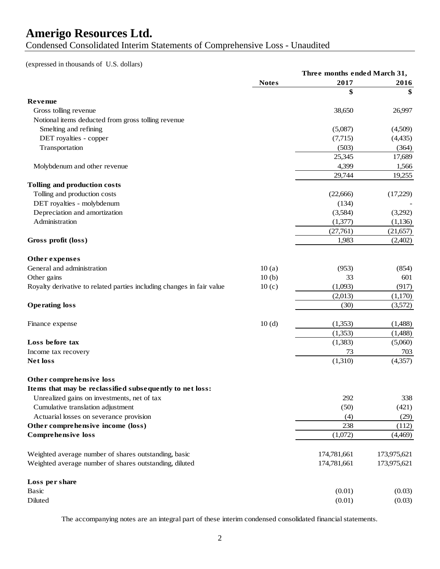Condensed Consolidated Interim Statements of Comprehensive Loss - Unaudited

### (expressed in thousands of U.S. dollars)

|                                                                       | Three months ended March 31, |             |             |  |
|-----------------------------------------------------------------------|------------------------------|-------------|-------------|--|
|                                                                       | <b>Notes</b>                 | 2017        | 2016        |  |
|                                                                       |                              | \$          |             |  |
| Revenue                                                               |                              |             |             |  |
| Gross tolling revenue                                                 |                              | 38,650      | 26,997      |  |
| Notional items deducted from gross tolling revenue                    |                              |             |             |  |
| Smelting and refining                                                 |                              | (5,087)     | (4,509)     |  |
| DET royalties - copper                                                |                              | (7,715)     | (4, 435)    |  |
| Transportation                                                        |                              | (503)       | (364)       |  |
|                                                                       |                              | 25,345      | 17,689      |  |
| Molybdenum and other revenue                                          |                              | 4,399       | 1,566       |  |
|                                                                       |                              | 29,744      | 19,255      |  |
| Tolling and production costs                                          |                              |             |             |  |
| Tolling and production costs                                          |                              | (22, 666)   | (17,229)    |  |
| DET royalties - molybdenum                                            |                              | (134)       |             |  |
| Depreciation and amortization                                         |                              | (3,584)     | (3,292)     |  |
| Administration                                                        |                              | (1,377)     | (1, 136)    |  |
|                                                                       |                              | (27,761)    | (21, 657)   |  |
| Gross profit (loss)                                                   |                              | 1,983       | (2,402)     |  |
|                                                                       |                              |             |             |  |
| Other expenses                                                        |                              |             |             |  |
| General and administration                                            | 10(a)                        | (953)       | (854)       |  |
| Other gains                                                           | 10(b)                        | 33          | 601         |  |
| Royalty derivative to related parties including changes in fair value | 10(c)                        | (1,093)     | (917)       |  |
|                                                                       |                              | (2,013)     | (1,170)     |  |
| <b>Operating loss</b>                                                 |                              | (30)        | (3,572)     |  |
| Finance expense                                                       | 10(d)                        | (1,353)     | (1,488)     |  |
|                                                                       |                              | (1,353)     | (1,488)     |  |
| Loss before tax                                                       |                              | (1,383)     | (5,060)     |  |
| Income tax recovery                                                   |                              | 73          | 703         |  |
| <b>Net loss</b>                                                       |                              | (1,310)     | (4,357)     |  |
| Other comprehensive loss                                              |                              |             |             |  |
| Items that may be reclassified subsequently to net loss:              |                              |             |             |  |
| Unrealized gains on investments, net of tax                           |                              | 292         | 338         |  |
| Cumulative translation adjustment                                     |                              | (50)        | (421)       |  |
| Actuarial losses on severance provision                               |                              | (4)         | (29)        |  |
| Other comprehensive income (loss)                                     |                              | 238         | (112)       |  |
| <b>Comprehensive loss</b>                                             |                              | (1,072)     | (4,469)     |  |
|                                                                       |                              |             |             |  |
| Weighted average number of shares outstanding, basic                  |                              | 174,781,661 | 173,975,621 |  |
| Weighted average number of shares outstanding, diluted                |                              | 174,781,661 | 173,975,621 |  |
| Loss per share                                                        |                              |             |             |  |
| <b>Basic</b>                                                          |                              | (0.01)      | (0.03)      |  |
| Diluted                                                               |                              | (0.01)      | (0.03)      |  |

The accompanying notes are an integral part of these interim condensed consolidated financial statements.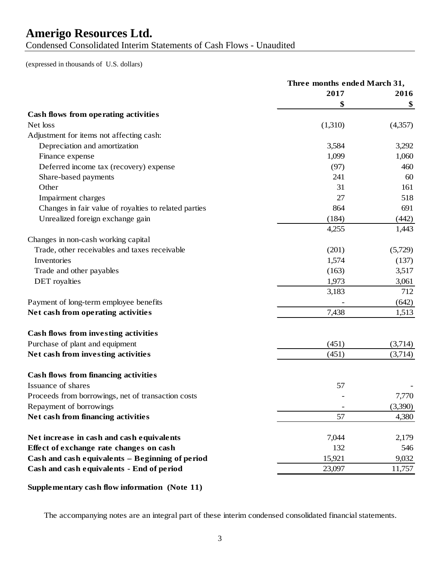Condensed Consolidated Interim Statements of Cash Flows - Unaudited

(expressed in thousands of U.S. dollars)

|                                                       | Three months ended March 31, |         |  |
|-------------------------------------------------------|------------------------------|---------|--|
|                                                       | 2017                         | 2016    |  |
|                                                       | \$                           | \$      |  |
| Cash flows from operating activities                  |                              |         |  |
| Net loss                                              | (1,310)                      | (4,357) |  |
| Adjustment for items not affecting cash:              |                              |         |  |
| Depreciation and amortization                         | 3,584                        | 3,292   |  |
| Finance expense                                       | 1,099                        | 1,060   |  |
| Deferred income tax (recovery) expense                | (97)                         | 460     |  |
| Share-based payments                                  | 241                          | 60      |  |
| Other                                                 | 31                           | 161     |  |
| Impairment charges                                    | 27                           | 518     |  |
| Changes in fair value of royalties to related parties | 864                          | 691     |  |
| Unrealized foreign exchange gain                      | (184)                        | (442)   |  |
|                                                       | 4,255                        | 1,443   |  |
| Changes in non-cash working capital                   |                              |         |  |
| Trade, other receivables and taxes receivable         | (201)                        | (5,729) |  |
| Inventories                                           | 1,574                        | (137)   |  |
| Trade and other payables                              | (163)                        | 3,517   |  |
| <b>DET</b> royalties                                  | 1,973                        | 3,061   |  |
|                                                       | 3,183                        | 712     |  |
| Payment of long-term employee benefits                |                              | (642)   |  |
| Net cash from operating activities                    | 7,438                        | 1,513   |  |
| Cash flows from investing activities                  |                              |         |  |
|                                                       | (451)                        |         |  |
| Purchase of plant and equipment                       |                              | (3,714) |  |
| Net cash from investing activities                    | (451)                        | (3,714) |  |
| <b>Cash flows from financing activities</b>           |                              |         |  |
| Issuance of shares                                    | 57                           |         |  |
| Proceeds from borrowings, net of transaction costs    |                              | 7,770   |  |
| Repayment of borrowings                               |                              | (3,390) |  |
| Net cash from financing activities                    | 57                           | 4,380   |  |
| Net increase in cash and cash equivalents             | 7,044                        | 2,179   |  |
| Effect of exchange rate changes on cash               | 132                          | 546     |  |
| Cash and cash equivalents - Beginning of period       | 15,921                       | 9,032   |  |
| Cash and cash equivalents - End of period             | 23,097                       | 11,757  |  |
|                                                       |                              |         |  |

### **Supplementary cash flow information (Note 11)**

The accompanying notes are an integral part of these interim condensed consolidated financial statements.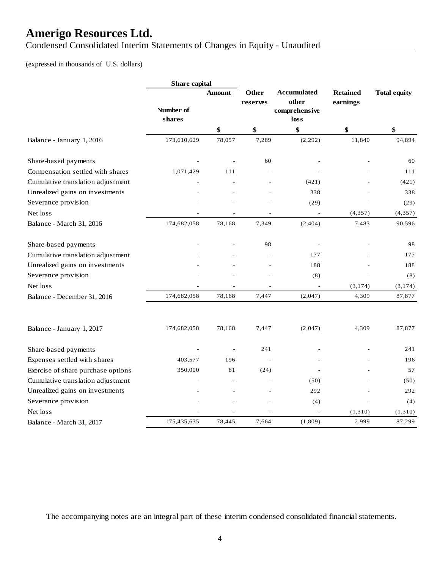Condensed Consolidated Interim Statements of Changes in Equity - Unaudited

### (expressed in thousands of U.S. dollars)

|                                    | Share capital       |               |                          |                                                      |                             |                     |
|------------------------------------|---------------------|---------------|--------------------------|------------------------------------------------------|-----------------------------|---------------------|
|                                    | Number of<br>shares | <b>Amount</b> | <b>Other</b><br>reserves | <b>Accumulated</b><br>other<br>comprehensive<br>loss | <b>Retained</b><br>earnings | <b>Total equity</b> |
|                                    |                     | \$            | \$                       | \$                                                   | \$                          | \$                  |
| Balance - January 1, 2016          | 173,610,629         | 78,057        | 7,289                    | (2, 292)                                             | 11,840                      | 94,894              |
| Share-based payments               |                     |               | 60                       |                                                      |                             | 60                  |
| Compensation settled with shares   | 1,071,429           | 111           |                          |                                                      |                             | 111                 |
| Cumulative translation adjustment  |                     |               |                          | (421)                                                |                             | (421)               |
| Unrealized gains on investments    |                     |               |                          | 338                                                  |                             | 338                 |
| Severance provision                |                     |               |                          | (29)                                                 |                             | (29)                |
| Net loss                           |                     |               |                          |                                                      | (4, 357)                    | (4,357)             |
| Balance - March 31, 2016           | 174,682,058         | 78,168        | 7,349                    | (2, 404)                                             | 7,483                       | 90,596              |
| Share-based payments               |                     |               | 98                       |                                                      |                             | 98                  |
| Cumulative translation adjustment  |                     |               |                          | 177                                                  |                             | 177                 |
| Unrealized gains on investments    |                     |               |                          | 188                                                  |                             | 188                 |
| Severance provision                |                     |               |                          | (8)                                                  |                             | (8)                 |
| Net loss                           |                     |               |                          | $\overline{\phantom{a}}$                             | (3, 174)                    | (3, 174)            |
| Balance - December 31, 2016        | 174,682,058         | 78,168        | 7,447                    | (2,047)                                              | 4,309                       | 87,877              |
| Balance - January 1, 2017          | 174,682,058         | 78,168        | 7,447                    | (2,047)                                              | 4,309                       | 87,877              |
| Share-based payments               |                     |               | 241                      |                                                      |                             | 241                 |
| Expenses settled with shares       | 403,577             | 196           |                          |                                                      |                             | 196                 |
| Exercise of share purchase options | 350,000             | 81            | (24)                     |                                                      |                             | 57                  |
| Cumulative translation adjustment  |                     |               |                          | (50)                                                 |                             | (50)                |
| Unrealized gains on investments    |                     |               |                          | 292                                                  |                             | 292                 |
| Severance provision                |                     |               |                          | (4)                                                  |                             | (4)                 |
| Net loss                           |                     |               |                          |                                                      | (1,310)                     | (1, 310)            |
| Balance - March 31, 2017           | 175,435,635         | 78,445        | 7,664                    | (1,809)                                              | 2,999                       | 87,299              |

The accompanying notes are an integral part of these interim condensed consolidated financial statements.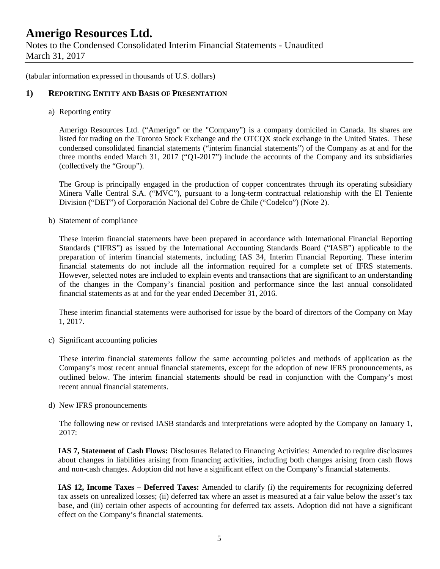Notes to the Condensed Consolidated Interim Financial Statements - Unaudited March 31, 2017

(tabular information expressed in thousands of U.S. dollars)

#### **1) REPORTING ENTITY AND BASIS OF PRESENTATION**

a) Reporting entity

Amerigo Resources Ltd. ("Amerigo" or the "Company") is a company domiciled in Canada. Its shares are listed for trading on the Toronto Stock Exchange and the OTCQX stock exchange in the United States. These condensed consolidated financial statements ("interim financial statements") of the Company as at and for the three months ended March 31, 2017 ("Q1-2017") include the accounts of the Company and its subsidiaries (collectively the "Group").

The Group is principally engaged in the production of copper concentrates through its operating subsidiary Minera Valle Central S.A. ("MVC"), pursuant to a long-term contractual relationship with the El Teniente Division ("DET") of Corporación Nacional del Cobre de Chile ("Codelco") (Note 2).

b) Statement of compliance

These interim financial statements have been prepared in accordance with International Financial Reporting Standards ("IFRS") as issued by the International Accounting Standards Board ("IASB") applicable to the preparation of interim financial statements, including IAS 34, Interim Financial Reporting. These interim financial statements do not include all the information required for a complete set of IFRS statements. However, selected notes are included to explain events and transactions that are significant to an understanding of the changes in the Company's financial position and performance since the last annual consolidated financial statements as at and for the year ended December 31, 2016.

These interim financial statements were authorised for issue by the board of directors of the Company on May 1, 2017.

c) Significant accounting policies

These interim financial statements follow the same accounting policies and methods of application as the Company's most recent annual financial statements, except for the adoption of new IFRS pronouncements, as outlined below. The interim financial statements should be read in conjunction with the Company's most recent annual financial statements.

d) New IFRS pronouncements

The following new or revised IASB standards and interpretations were adopted by the Company on January 1, 2017:

**IAS 7, Statement of Cash Flows:** Disclosures Related to Financing Activities: Amended to require disclosures about changes in liabilities arising from financing activities, including both changes arising from cash flows and non-cash changes. Adoption did not have a significant effect on the Company's financial statements.

**IAS 12, Income Taxes – Deferred Taxes:** Amended to clarify (i) the requirements for recognizing deferred tax assets on unrealized losses; (ii) deferred tax where an asset is measured at a fair value below the asset's tax base, and (iii) certain other aspects of accounting for deferred tax assets. Adoption did not have a significant effect on the Company's financial statements.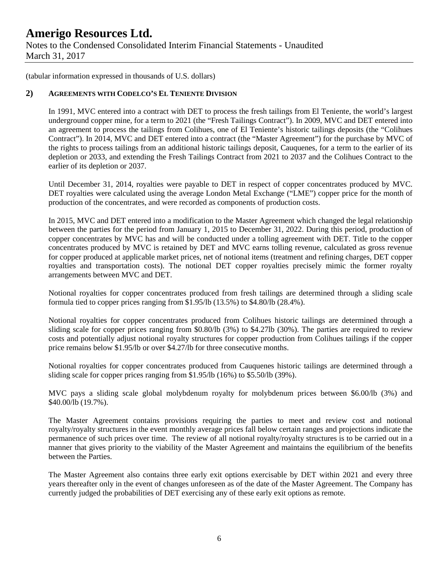Notes to the Condensed Consolidated Interim Financial Statements - Unaudited March 31, 2017

(tabular information expressed in thousands of U.S. dollars)

#### **2) AGREEMENTS WITH CODELCO'S EL TENIENTE DIVISION**

In 1991, MVC entered into a contract with DET to process the fresh tailings from El Teniente, the world's largest underground copper mine, for a term to 2021 (the "Fresh Tailings Contract"). In 2009, MVC and DET entered into an agreement to process the tailings from Colihues, one of El Teniente's historic tailings deposits (the "Colihues Contract"). In 2014, MVC and DET entered into a contract (the "Master Agreement") for the purchase by MVC of the rights to process tailings from an additional historic tailings deposit, Cauquenes, for a term to the earlier of its depletion or 2033, and extending the Fresh Tailings Contract from 2021 to 2037 and the Colihues Contract to the earlier of its depletion or 2037.

Until December 31, 2014, royalties were payable to DET in respect of copper concentrates produced by MVC. DET royalties were calculated using the average London Metal Exchange ("LME") copper price for the month of production of the concentrates, and were recorded as components of production costs.

In 2015, MVC and DET entered into a modification to the Master Agreement which changed the legal relationship between the parties for the period from January 1, 2015 to December 31, 2022. During this period, production of copper concentrates by MVC has and will be conducted under a tolling agreement with DET. Title to the copper concentrates produced by MVC is retained by DET and MVC earns tolling revenue, calculated as gross revenue for copper produced at applicable market prices, net of notional items (treatment and refining charges, DET copper royalties and transportation costs). The notional DET copper royalties precisely mimic the former royalty arrangements between MVC and DET.

Notional royalties for copper concentrates produced from fresh tailings are determined through a sliding scale formula tied to copper prices ranging from \$1.95/lb (13.5%) to \$4.80/lb (28.4%).

Notional royalties for copper concentrates produced from Colihues historic tailings are determined through a sliding scale for copper prices ranging from \$0.80/lb (3%) to \$4.27lb (30%). The parties are required to review costs and potentially adjust notional royalty structures for copper production from Colihues tailings if the copper price remains below \$1.95/lb or over \$4.27/lb for three consecutive months.

Notional royalties for copper concentrates produced from Cauquenes historic tailings are determined through a sliding scale for copper prices ranging from \$1.95/lb (16%) to \$5.50/lb (39%).

MVC pays a sliding scale global molybdenum royalty for molybdenum prices between \$6.00/lb (3%) and \$40.00/lb (19.7%).

The Master Agreement contains provisions requiring the parties to meet and review cost and notional royalty/royalty structures in the event monthly average prices fall below certain ranges and projections indicate the permanence of such prices over time. The review of all notional royalty/royalty structures is to be carried out in a manner that gives priority to the viability of the Master Agreement and maintains the equilibrium of the benefits between the Parties.

The Master Agreement also contains three early exit options exercisable by DET within 2021 and every three years thereafter only in the event of changes unforeseen as of the date of the Master Agreement. The Company has currently judged the probabilities of DET exercising any of these early exit options as remote.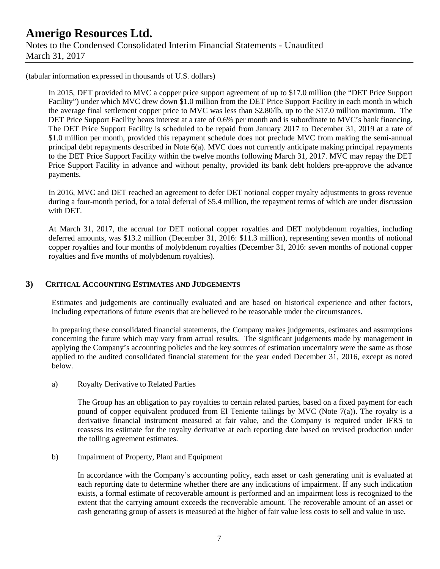### **Amerigo Resources Ltd.** Notes to the Condensed Consolidated Interim Financial Statements - Unaudited March 31, 2017

(tabular information expressed in thousands of U.S. dollars)

In 2015, DET provided to MVC a copper price support agreement of up to \$17.0 million (the "DET Price Support Facility") under which MVC drew down \$1.0 million from the DET Price Support Facility in each month in which the average final settlement copper price to MVC was less than \$2.80/lb, up to the \$17.0 million maximum. The DET Price Support Facility bears interest at a rate of 0.6% per month and is subordinate to MVC's bank financing. The DET Price Support Facility is scheduled to be repaid from January 2017 to December 31, 2019 at a rate of \$1.0 million per month, provided this repayment schedule does not preclude MVC from making the semi-annual principal debt repayments described in Note 6(a). MVC does not currently anticipate making principal repayments to the DET Price Support Facility within the twelve months following March 31, 2017. MVC may repay the DET Price Support Facility in advance and without penalty, provided its bank debt holders pre-approve the advance payments.

In 2016, MVC and DET reached an agreement to defer DET notional copper royalty adjustments to gross revenue during a four-month period, for a total deferral of \$5.4 million, the repayment terms of which are under discussion with DET.

At March 31, 2017, the accrual for DET notional copper royalties and DET molybdenum royalties, including deferred amounts, was \$13.2 million (December 31, 2016: \$11.3 million), representing seven months of notional copper royalties and four months of molybdenum royalties (December 31, 2016: seven months of notional copper royalties and five months of molybdenum royalties).

#### **3) CRITICAL ACCOUNTING ESTIMATES AND JUDGEMENTS**

Estimates and judgements are continually evaluated and are based on historical experience and other factors, including expectations of future events that are believed to be reasonable under the circumstances.

In preparing these consolidated financial statements, the Company makes judgements, estimates and assumptions concerning the future which may vary from actual results. The significant judgements made by management in applying the Company's accounting policies and the key sources of estimation uncertainty were the same as those applied to the audited consolidated financial statement for the year ended December 31, 2016, except as noted below.

a) Royalty Derivative to Related Parties

The Group has an obligation to pay royalties to certain related parties, based on a fixed payment for each pound of copper equivalent produced from El Teniente tailings by MVC (Note 7(a)). The royalty is a derivative financial instrument measured at fair value, and the Company is required under IFRS to reassess its estimate for the royalty derivative at each reporting date based on revised production under the tolling agreement estimates.

b) Impairment of Property, Plant and Equipment

In accordance with the Company's accounting policy, each asset or cash generating unit is evaluated at each reporting date to determine whether there are any indications of impairment. If any such indication exists, a formal estimate of recoverable amount is performed and an impairment loss is recognized to the extent that the carrying amount exceeds the recoverable amount. The recoverable amount of an asset or cash generating group of assets is measured at the higher of fair value less costs to sell and value in use.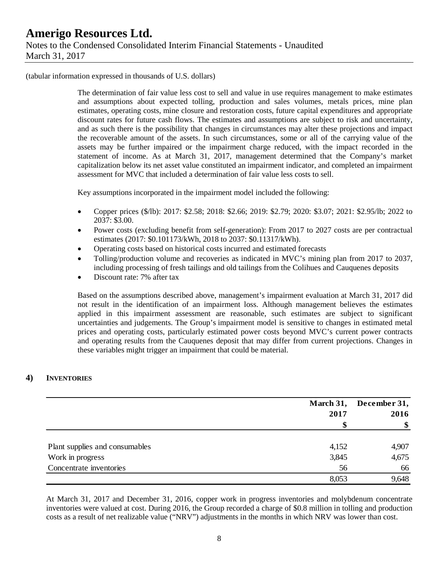(tabular information expressed in thousands of U.S. dollars)

The determination of fair value less cost to sell and value in use requires management to make estimates and assumptions about expected tolling, production and sales volumes, metals prices, mine plan estimates, operating costs, mine closure and restoration costs, future capital expenditures and appropriate discount rates for future cash flows. The estimates and assumptions are subject to risk and uncertainty, and as such there is the possibility that changes in circumstances may alter these projections and impact the recoverable amount of the assets. In such circumstances, some or all of the carrying value of the assets may be further impaired or the impairment charge reduced, with the impact recorded in the statement of income. As at March 31, 2017, management determined that the Company's market capitalization below its net asset value constituted an impairment indicator, and completed an impairment assessment for MVC that included a determination of fair value less costs to sell.

Key assumptions incorporated in the impairment model included the following:

- Copper prices (\$/lb): 2017: \$2.58; 2018: \$2.66; 2019: \$2.79; 2020: \$3.07; 2021: \$2.95/lb; 2022 to 2037: \$3.00.
- Power costs (excluding benefit from self-generation): From 2017 to 2027 costs are per contractual estimates (2017: \$0.101173/kWh, 2018 to 2037: \$0.11317/kWh).
- Operating costs based on historical costs incurred and estimated forecasts
- Tolling/production volume and recoveries as indicated in MVC's mining plan from 2017 to 2037, including processing of fresh tailings and old tailings from the Colihues and Cauquenes deposits
- Discount rate: 7% after tax

Based on the assumptions described above, management's impairment evaluation at March 31, 2017 did not result in the identification of an impairment loss. Although management believes the estimates applied in this impairment assessment are reasonable, such estimates are subject to significant uncertainties and judgements. The Group's impairment model is sensitive to changes in estimated metal prices and operating costs, particularly estimated power costs beyond MVC's current power contracts and operating results from the Cauquenes deposit that may differ from current projections. Changes in these variables might trigger an impairment that could be material.

#### **4) INVENTORIES**

|                                | March 31, | December 31, |  |
|--------------------------------|-----------|--------------|--|
|                                | 2017      | 2016         |  |
|                                |           | \$           |  |
| Plant supplies and consumables | 4,152     | 4,907        |  |
| Work in progress               | 3,845     | 4,675        |  |
| Concentrate inventories        | 56        | 66           |  |
|                                | 8,053     | 9,648        |  |

At March 31, 2017 and December 31, 2016, copper work in progress inventories and molybdenum concentrate inventories were valued at cost. During 2016, the Group recorded a charge of \$0.8 million in tolling and production costs as a result of net realizable value ("NRV") adjustments in the months in which NRV was lower than cost.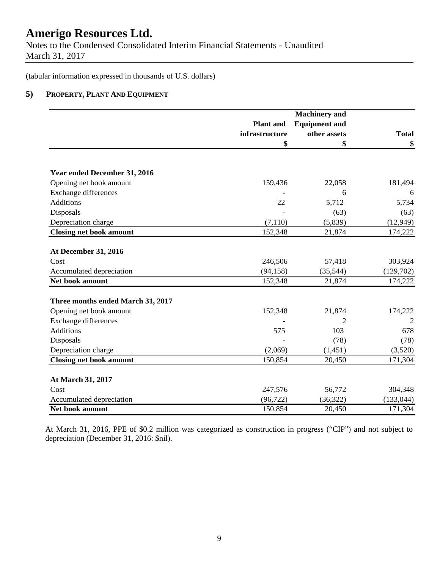Notes to the Condensed Consolidated Interim Financial Statements - Unaudited March 31, 2017

(tabular information expressed in thousands of U.S. dollars)

#### **5) PROPERTY, PLANT AND EQUIPMENT**

|                                   |                  | <b>Machinery</b> and |                |
|-----------------------------------|------------------|----------------------|----------------|
|                                   | <b>Plant</b> and | <b>Equipment and</b> |                |
|                                   | infrastructure   | other assets         | <b>Total</b>   |
|                                   | \$               | \$                   | \$             |
|                                   |                  |                      |                |
| Year ended December 31, 2016      |                  |                      |                |
| Opening net book amount           | 159,436          | 22,058               | 181,494        |
| <b>Exchange differences</b>       |                  | 6                    | 6              |
| <b>Additions</b>                  | 22               | 5,712                | 5,734          |
| Disposals                         |                  | (63)                 | (63)           |
| Depreciation charge               | (7, 110)         | (5,839)              | (12, 949)      |
| <b>Closing net book amount</b>    | 152,348          | 21,874               | 174,222        |
|                                   |                  |                      |                |
| <b>At December 31, 2016</b>       |                  |                      |                |
| Cost                              | 246,506          | 57,418               | 303,924        |
| Accumulated depreciation          | (94, 158)        | (35,544)             | (129,702)      |
| Net book amount                   | 152,348          | 21,874               | 174,222        |
| Three months ended March 31, 2017 |                  |                      |                |
| Opening net book amount           | 152,348          | 21,874               | 174,222        |
| <b>Exchange differences</b>       |                  | $\overline{c}$       | $\overline{2}$ |
| <b>Additions</b>                  | 575              | 103                  | 678            |
| Disposals                         |                  | (78)                 | (78)           |
| Depreciation charge               | (2,069)          | (1, 451)             | (3,520)        |
| <b>Closing net book amount</b>    | 150,854          | 20,450               | 171,304        |
| At March 31, 2017                 |                  |                      |                |
| Cost                              | 247,576          | 56,772               | 304,348        |
| Accumulated depreciation          | (96, 722)        | (36, 322)            | (133, 044)     |
| Net book amount                   | 150,854          | 20,450               | 171,304        |

At March 31, 2016, PPE of \$0.2 million was categorized as construction in progress ("CIP") and not subject to depreciation (December 31, 2016: \$nil).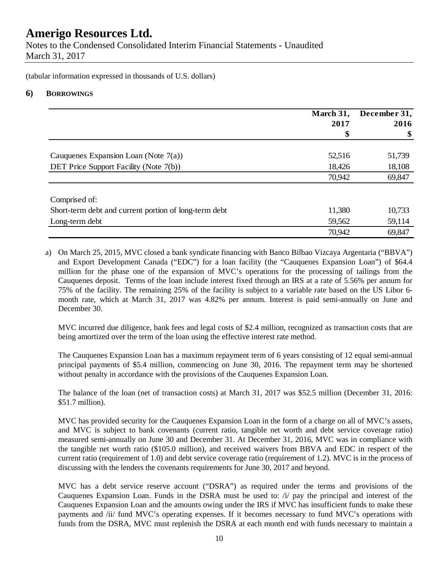Notes to the Condensed Consolidated Interim Financial Statements - Unaudited March 31, 2017

(tabular information expressed in thousands of U.S. dollars)

#### **6) BORROWINGS**

|                                                       | March 31,<br>2017 | December 31,<br>2016 |
|-------------------------------------------------------|-------------------|----------------------|
|                                                       | \$                | \$                   |
| Cauquenes Expansion Loan (Note $7(a)$ )               | 52,516            | 51,739               |
| DET Price Support Facility (Note 7(b))                | 18,426            | 18,108               |
|                                                       | 70,942            | 69,847               |
| Comprised of:                                         |                   |                      |
| Short-term debt and current portion of long-term debt | 11,380            | 10,733               |
| Long-term debt                                        | 59,562            | 59,114               |
|                                                       | 70,942            | 69,847               |

a) On March 25, 2015, MVC closed a bank syndicate financing with Banco Bilbao Vizcaya Argentaria ("BBVA") and Export Development Canada ("EDC") for a loan facility (the "Cauquenes Expansion Loan") of \$64.4 million for the phase one of the expansion of MVC's operations for the processing of tailings from the Cauquenes deposit. Terms of the loan include interest fixed through an IRS at a rate of 5.56% per annum for 75% of the facility. The remaining 25% of the facility is subject to a variable rate based on the US Libor 6 month rate, which at March 31, 2017 was 4.82% per annum. Interest is paid semi-annually on June and December 30.

MVC incurred due diligence, bank fees and legal costs of \$2.4 million, recognized as transaction costs that are being amortized over the term of the loan using the effective interest rate method.

The Cauquenes Expansion Loan has a maximum repayment term of 6 years consisting of 12 equal semi-annual principal payments of \$5.4 million, commencing on June 30, 2016. The repayment term may be shortened without penalty in accordance with the provisions of the Cauquenes Expansion Loan.

The balance of the loan (net of transaction costs) at March 31, 2017 was \$52.5 million (December 31, 2016: \$51.7 million).

MVC has provided security for the Cauquenes Expansion Loan in the form of a charge on all of MVC's assets, and MVC is subject to bank covenants (current ratio, tangible net worth and debt service coverage ratio) measured semi-annually on June 30 and December 31. At December 31, 2016, MVC was in compliance with the tangible net worth ratio (\$105.0 million), and received waivers from BBVA and EDC in respect of the current ratio (requirement of 1.0) and debt service coverage ratio (requirement of 1.2). MVC is in the process of discussing with the lenders the covenants requirements for June 30, 2017 and beyond.

MVC has a debt service reserve account ("DSRA") as required under the terms and provisions of the Cauquenes Expansion Loan. Funds in the DSRA must be used to: /i/ pay the principal and interest of the Cauquenes Expansion Loan and the amounts owing under the IRS if MVC has insufficient funds to make these payments and /ii/ fund MVC's operating expenses. If it becomes necessary to fund MVC's operations with funds from the DSRA, MVC must replenish the DSRA at each month end with funds necessary to maintain a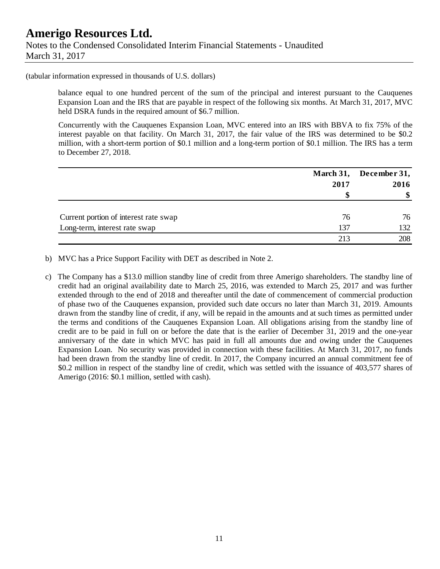(tabular information expressed in thousands of U.S. dollars)

balance equal to one hundred percent of the sum of the principal and interest pursuant to the Cauquenes Expansion Loan and the IRS that are payable in respect of the following six months. At March 31, 2017, MVC held DSRA funds in the required amount of \$6.7 million.

Concurrently with the Cauquenes Expansion Loan, MVC entered into an IRS with BBVA to fix 75% of the interest payable on that facility. On March 31, 2017, the fair value of the IRS was determined to be \$0.2 million, with a short-term portion of \$0.1 million and a long-term portion of \$0.1 million. The IRS has a term to December 27, 2018.

|                                       | March 31, | December 31,  |
|---------------------------------------|-----------|---------------|
|                                       | 2017      | 2016          |
|                                       |           | $\mathbf{\$}$ |
| Current portion of interest rate swap | 76        | 76            |
| Long-term, interest rate swap         | 137       | 132           |
|                                       | 213       | 208           |

b) MVC has a Price Support Facility with DET as described in Note 2.

c) The Company has a \$13.0 million standby line of credit from three Amerigo shareholders. The standby line of credit had an original availability date to March 25, 2016, was extended to March 25, 2017 and was further extended through to the end of 2018 and thereafter until the date of commencement of commercial production of phase two of the Cauquenes expansion, provided such date occurs no later than March 31, 2019. Amounts drawn from the standby line of credit, if any, will be repaid in the amounts and at such times as permitted under the terms and conditions of the Cauquenes Expansion Loan. All obligations arising from the standby line of credit are to be paid in full on or before the date that is the earlier of December 31, 2019 and the one-year anniversary of the date in which MVC has paid in full all amounts due and owing under the Cauquenes Expansion Loan. No security was provided in connection with these facilities. At March 31, 2017, no funds had been drawn from the standby line of credit. In 2017, the Company incurred an annual commitment fee of \$0.2 million in respect of the standby line of credit, which was settled with the issuance of 403,577 shares of Amerigo (2016: \$0.1 million, settled with cash).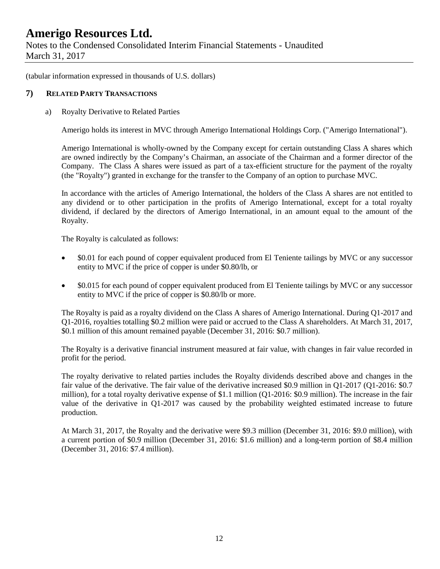Notes to the Condensed Consolidated Interim Financial Statements - Unaudited March 31, 2017

(tabular information expressed in thousands of U.S. dollars)

#### **7) RELATED PARTY TRANSACTIONS**

#### a) Royalty Derivative to Related Parties

Amerigo holds its interest in MVC through Amerigo International Holdings Corp. ("Amerigo International").

Amerigo International is wholly-owned by the Company except for certain outstanding Class A shares which are owned indirectly by the Company's Chairman, an associate of the Chairman and a former director of the Company. The Class A shares were issued as part of a tax-efficient structure for the payment of the royalty (the "Royalty") granted in exchange for the transfer to the Company of an option to purchase MVC.

In accordance with the articles of Amerigo International, the holders of the Class A shares are not entitled to any dividend or to other participation in the profits of Amerigo International, except for a total royalty dividend, if declared by the directors of Amerigo International, in an amount equal to the amount of the Royalty.

The Royalty is calculated as follows:

- \$0.01 for each pound of copper equivalent produced from El Teniente tailings by MVC or any successor entity to MVC if the price of copper is under \$0.80/lb, or
- \$0.015 for each pound of copper equivalent produced from El Teniente tailings by MVC or any successor entity to MVC if the price of copper is \$0.80/lb or more.

The Royalty is paid as a royalty dividend on the Class A shares of Amerigo International. During Q1-2017 and Q1-2016, royalties totalling \$0.2 million were paid or accrued to the Class A shareholders. At March 31, 2017, \$0.1 million of this amount remained payable (December 31, 2016: \$0.7 million).

The Royalty is a derivative financial instrument measured at fair value, with changes in fair value recorded in profit for the period.

The royalty derivative to related parties includes the Royalty dividends described above and changes in the fair value of the derivative. The fair value of the derivative increased \$0.9 million in Q1-2017 (Q1-2016: \$0.7 million), for a total royalty derivative expense of \$1.1 million (Q1-2016: \$0.9 million). The increase in the fair value of the derivative in Q1-2017 was caused by the probability weighted estimated increase to future production.

At March 31, 2017, the Royalty and the derivative were \$9.3 million (December 31, 2016: \$9.0 million), with a current portion of \$0.9 million (December 31, 2016: \$1.6 million) and a long-term portion of \$8.4 million (December 31, 2016: \$7.4 million).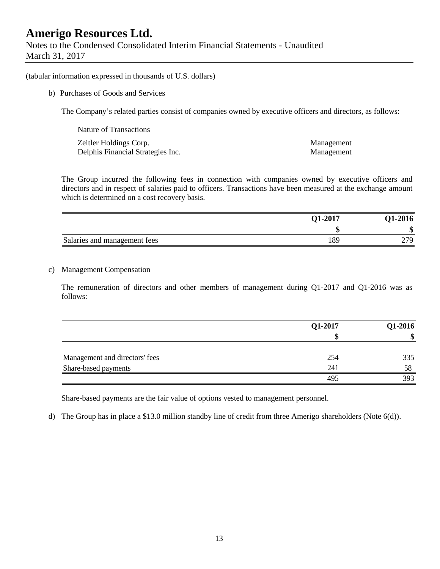Notes to the Condensed Consolidated Interim Financial Statements - Unaudited March 31, 2017

(tabular information expressed in thousands of U.S. dollars)

b) Purchases of Goods and Services

The Company's related parties consist of companies owned by executive officers and directors, as follows:

| Nature of Transactions            |            |
|-----------------------------------|------------|
| Zeitler Holdings Corp.            | Management |
| Delphis Financial Strategies Inc. | Management |

The Group incurred the following fees in connection with companies owned by executive officers and directors and in respect of salaries paid to officers. Transactions have been measured at the exchange amount which is determined on a cost recovery basis.

|                              | <b>Q1-2017</b> | <b>Q1-2016</b> |
|------------------------------|----------------|----------------|
|                              | ۸D             | ۱J             |
| Salaries and management fees | 89             | 77Q            |

#### c) Management Compensation

The remuneration of directors and other members of management during Q1-2017 and Q1-2016 was as follows:

|                                | Q1-2017 | Q1-2016 |
|--------------------------------|---------|---------|
|                                |         | \$      |
| Management and directors' fees | 254     | 335     |
| Share-based payments           | 241     | 58      |
|                                | 495     | 393     |

Share-based payments are the fair value of options vested to management personnel.

d) The Group has in place a \$13.0 million standby line of credit from three Amerigo shareholders (Note 6(d)).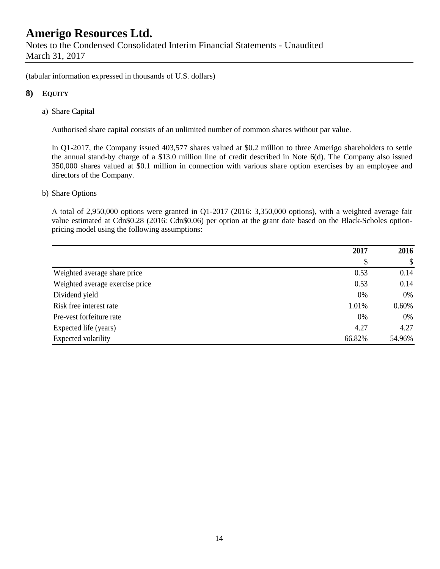(tabular information expressed in thousands of U.S. dollars)

#### **8) EQUITY**

a) Share Capital

Authorised share capital consists of an unlimited number of common shares without par value.

In Q1-2017, the Company issued 403,577 shares valued at \$0.2 million to three Amerigo shareholders to settle the annual stand-by charge of a \$13.0 million line of credit described in Note 6(d). The Company also issued 350,000 shares valued at \$0.1 million in connection with various share option exercises by an employee and directors of the Company.

#### b) Share Options

A total of 2,950,000 options were granted in Q1-2017 (2016: 3,350,000 options), with a weighted average fair value estimated at Cdn\$0.28 (2016: Cdn\$0.06) per option at the grant date based on the Black-Scholes optionpricing model using the following assumptions:

|                                 | 2017   | 2016   |
|---------------------------------|--------|--------|
|                                 | \$     | \$     |
| Weighted average share price    | 0.53   | 0.14   |
| Weighted average exercise price | 0.53   | 0.14   |
| Dividend yield                  | 0%     | 0%     |
| Risk free interest rate         | 1.01%  | 0.60%  |
| Pre-vest forfeiture rate        | 0%     | 0%     |
| Expected life (years)           | 4.27   | 4.27   |
| Expected volatility             | 66.82% | 54.96% |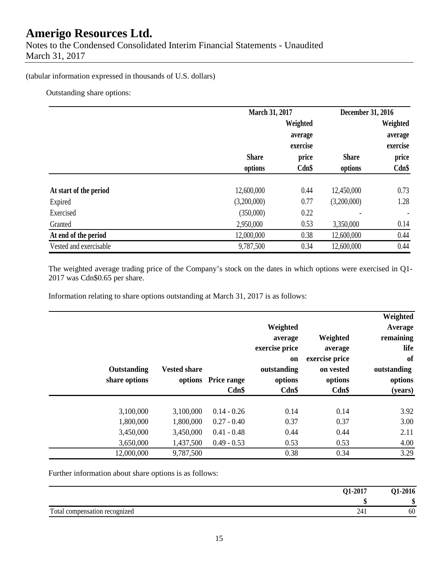Notes to the Condensed Consolidated Interim Financial Statements - Unaudited March 31, 2017

#### (tabular information expressed in thousands of U.S. dollars)

Outstanding share options:

|                        |              | March 31, 2017                  |              | December 31, 2016               |  |
|------------------------|--------------|---------------------------------|--------------|---------------------------------|--|
|                        |              | Weighted<br>average<br>exercise |              | Weighted<br>average<br>exercise |  |
|                        | <b>Share</b> | price                           | <b>Share</b> | price                           |  |
|                        | options      | $Cdn$ \$                        | options      | $Cdn$ \$                        |  |
| At start of the period | 12,600,000   | 0.44                            | 12,450,000   | 0.73                            |  |
| Expired                | (3,200,000)  | 0.77                            | (3,200,000)  | 1.28                            |  |
| Exercised              | (350,000)    | 0.22                            |              |                                 |  |
| Granted                | 2,950,000    | 0.53                            | 3,350,000    | 0.14                            |  |
| At end of the period   | 12,000,000   | 0.38                            | 12,600,000   | 0.44                            |  |
| Vested and exercisable | 9,787,500    | 0.34                            | 12,600,000   | 0.44                            |  |

The weighted average trading price of the Company's stock on the dates in which options were exercised in Q1- 2017 was Cdn\$0.65 per share.

Information relating to share options outstanding at March 31, 2017 is as follows:

| Weighted<br>Average<br>remaining<br>life<br>of<br>outstanding<br>options<br>(years) | Weighted<br>average<br>exercise price<br>on vested<br>options<br>Cdn\$ | Weighted<br>average<br>exercise price<br><b>on</b><br>outstanding<br>options<br>Cdn\$ | <b>Price range</b><br>Cdn\$ | <b>Vested share</b><br>options | Outstanding<br>share options |  |
|-------------------------------------------------------------------------------------|------------------------------------------------------------------------|---------------------------------------------------------------------------------------|-----------------------------|--------------------------------|------------------------------|--|
| 3.92                                                                                | 0.14                                                                   | 0.14                                                                                  | $0.14 - 0.26$               | 3,100,000                      | 3,100,000                    |  |
| 3.00                                                                                | 0.37                                                                   | 0.37                                                                                  | $0.27 - 0.40$               | 1,800,000                      | 1,800,000                    |  |
| 2.11                                                                                | 0.44                                                                   | 0.44                                                                                  | $0.41 - 0.48$               | 3,450,000                      | 3,450,000                    |  |
| 4.00                                                                                | 0.53                                                                   | 0.53                                                                                  | $0.49 - 0.53$               | 1,437,500                      | 3,650,000                    |  |
| 3.29                                                                                | 0.34                                                                   | 0.38                                                                                  |                             | 9,787,500                      | 12,000,000                   |  |

Further information about share options is as follows:

|                               | Q1-2017 | 01-2016 |
|-------------------------------|---------|---------|
|                               |         |         |
| Total compensation recognized | ~       | 60      |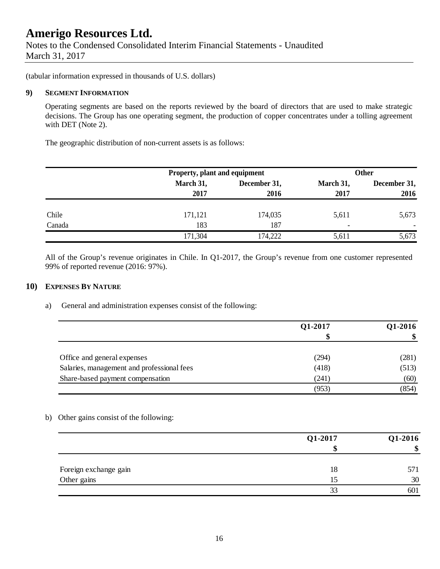Notes to the Condensed Consolidated Interim Financial Statements - Unaudited March 31, 2017

(tabular information expressed in thousands of U.S. dollars)

#### **9) SEGMENT INFORMATION**

Operating segments are based on the reports reviewed by the board of directors that are used to make strategic decisions. The Group has one operating segment, the production of copper concentrates under a tolling agreement with DET (Note 2).

The geographic distribution of non-current assets is as follows:

|        | Property, plant and equipment |              | <b>Other</b>             |              |  |
|--------|-------------------------------|--------------|--------------------------|--------------|--|
|        | March 31,                     | December 31, | March 31,                | December 31, |  |
|        | 2017                          | 2016         | 2017                     | 2016         |  |
| Chile  | 171,121                       | 174,035      | 5,611                    | 5,673        |  |
| Canada | 183                           | 187          | $\overline{\phantom{0}}$ |              |  |
|        | 171,304                       | 174,222      | 5,611                    | 5,673        |  |

All of the Group's revenue originates in Chile. In Q1-2017, the Group's revenue from one customer represented 99% of reported revenue (2016: 97%).

#### **10) EXPENSES BY NATURE**

a) General and administration expenses consist of the following:

|                                            | Q1-2017 | Q1-2016 |  |
|--------------------------------------------|---------|---------|--|
|                                            |         | \$      |  |
| Office and general expenses                | (294)   | (281)   |  |
| Salaries, management and professional fees | (418)   | (513)   |  |
| Share-based payment compensation           | (241)   | (60)    |  |
|                                            | (953)   | (854)   |  |

b) Other gains consist of the following:

|                       | Q1-2017 | Q1-2016 |  |
|-----------------------|---------|---------|--|
|                       |         | \$      |  |
| Foreign exchange gain | 18      | 571     |  |
| Other gains           | 15      | 30      |  |
|                       | 33      | 601     |  |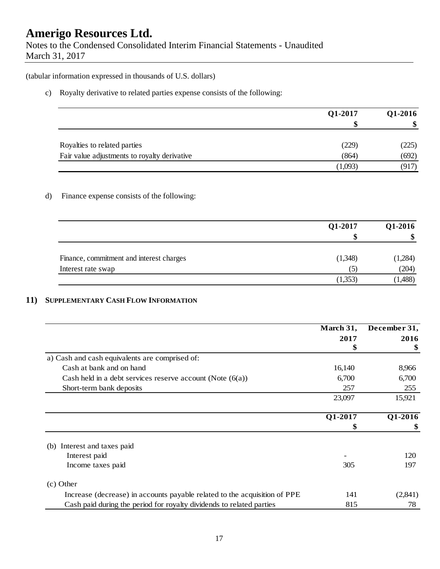Notes to the Condensed Consolidated Interim Financial Statements - Unaudited March 31, 2017

(tabular information expressed in thousands of U.S. dollars)

c) Royalty derivative to related parties expense consists of the following:

|                                              | Q1-2017 | Q1-2016<br>\$ |
|----------------------------------------------|---------|---------------|
|                                              | \$      |               |
| Royalties to related parties                 | (229)   | (225)         |
| Fair value adjustments to royalty derivative | (864)   | (692)         |
|                                              | (1,093) | (917)         |

#### d) Finance expense consists of the following:

|                                          | Q1-2017 | Q1-2016 |
|------------------------------------------|---------|---------|
|                                          | S       | \$      |
| Finance, commitment and interest charges | (1,348) | (1,284) |
| Interest rate swap                       |         | (204)   |
|                                          | (1,353) | (1,488) |

#### **11) SUPPLEMENTARY CASH FLOW INFORMATION**

|                                                                           | March 31, | December 31, |
|---------------------------------------------------------------------------|-----------|--------------|
|                                                                           | 2017      | 2016         |
|                                                                           | \$        | \$           |
| a) Cash and cash equivalents are comprised of:                            |           |              |
| Cash at bank and on hand                                                  | 16,140    | 8,966        |
| Cash held in a debt services reserve account (Note $(6(a))$ )             | 6,700     | 6,700        |
| Short-term bank deposits                                                  | 257       | 255          |
|                                                                           | 23,097    | 15,921       |
|                                                                           | Q1-2017   | Q1-2016      |
|                                                                           | \$        | \$           |
| Interest and taxes paid<br>(b)                                            |           |              |
| Interest paid                                                             |           | 120          |
| Income taxes paid                                                         | 305       | 197          |
| $(c)$ Other                                                               |           |              |
| Increase (decrease) in accounts payable related to the acquisition of PPE | 141       | (2,841)      |
| Cash paid during the period for royalty dividends to related parties      | 815       | 78           |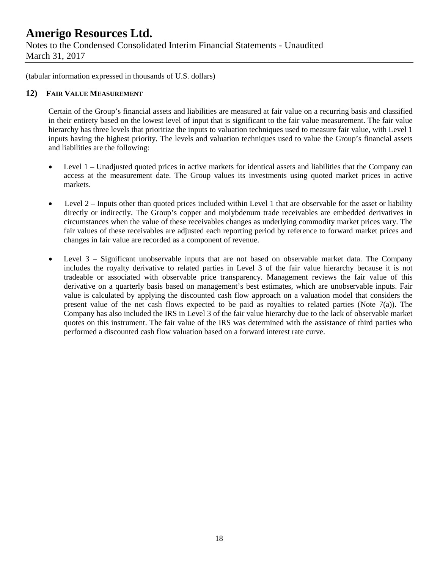Notes to the Condensed Consolidated Interim Financial Statements - Unaudited March 31, 2017

(tabular information expressed in thousands of U.S. dollars)

#### **12) FAIR VALUE MEASUREMENT**

Certain of the Group's financial assets and liabilities are measured at fair value on a recurring basis and classified in their entirety based on the lowest level of input that is significant to the fair value measurement. The fair value hierarchy has three levels that prioritize the inputs to valuation techniques used to measure fair value, with Level 1 inputs having the highest priority. The levels and valuation techniques used to value the Group's financial assets and liabilities are the following:

- Level 1 Unadjusted quoted prices in active markets for identical assets and liabilities that the Company can access at the measurement date. The Group values its investments using quoted market prices in active markets.
- Level  $2$  Inputs other than quoted prices included within Level 1 that are observable for the asset or liability directly or indirectly. The Group's copper and molybdenum trade receivables are embedded derivatives in circumstances when the value of these receivables changes as underlying commodity market prices vary. The fair values of these receivables are adjusted each reporting period by reference to forward market prices and changes in fair value are recorded as a component of revenue.
- Level 3 Significant unobservable inputs that are not based on observable market data. The Company includes the royalty derivative to related parties in Level 3 of the fair value hierarchy because it is not tradeable or associated with observable price transparency. Management reviews the fair value of this derivative on a quarterly basis based on management's best estimates, which are unobservable inputs. Fair value is calculated by applying the discounted cash flow approach on a valuation model that considers the present value of the net cash flows expected to be paid as royalties to related parties (Note 7(a)). The Company has also included the IRS in Level 3 of the fair value hierarchy due to the lack of observable market quotes on this instrument. The fair value of the IRS was determined with the assistance of third parties who performed a discounted cash flow valuation based on a forward interest rate curve.